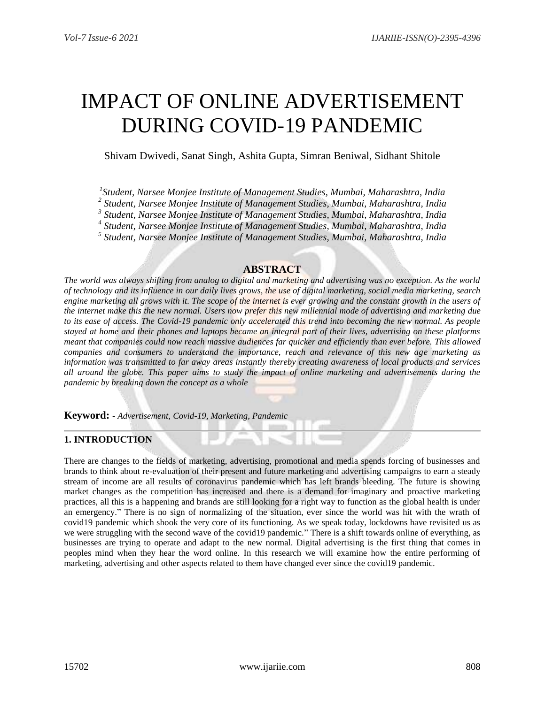# IMPACT OF ONLINE ADVERTISEMENT DURING COVID-19 PANDEMIC

Shivam Dwivedi, Sanat Singh, Ashita Gupta, Simran Beniwal, Sidhant Shitole

*1 Student, Narsee Monjee Institute of Management Studies, Mumbai, Maharashtra, India*

*2 Student, Narsee Monjee Institute of Management Studies, Mumbai, Maharashtra, India*

*3 Student, Narsee Monjee Institute of Management Studies, Mumbai, Maharashtra, India*

*4 Student, Narsee Monjee Institute of Management Studies, Mumbai, Maharashtra, India*

*5 Student, Narsee Monjee Institute of Management Studies, Mumbai, Maharashtra, India*

## **ABSTRACT**

*The world was always shifting from analog to digital and marketing and advertising was no exception. As the world of technology and its influence in our daily lives grows, the use of digital marketing, social media marketing, search engine marketing all grows with it. The scope of the internet is ever growing and the constant growth in the users of the internet make this the new normal. Users now prefer this new millennial mode of advertising and marketing due*  to its ease of access. The Covid-19 pandemic only accelerated this trend into becoming the new normal. As people *stayed at home and their phones and laptops became an integral part of their lives, advertising on these platforms meant that companies could now reach massive audiences far quicker and efficiently than ever before. This allowed companies and consumers to understand the importance, reach and relevance of this new age marketing as information was transmitted to far away areas instantly thereby creating awareness of local products and services all around the globe. This paper aims to study the impact of online marketing and advertisements during the pandemic by breaking down the concept as a whole*

**Keyword: -** *Advertisement, Covid-19, Marketing, Pandemic*

## **1. INTRODUCTION**

There are changes to the fields of marketing, advertising, promotional and media spends forcing of businesses and brands to think about re-evaluation of their present and future marketing and advertising campaigns to earn a steady stream of income are all results of coronavirus pandemic which has left brands bleeding. The future is showing market changes as the competition has increased and there is a demand for imaginary and proactive marketing practices, all this is a happening and brands are still looking for a right way to function as the global health is under an emergency." There is no sign of normalizing of the situation, ever since the world was hit with the wrath of covid19 pandemic which shook the very core of its functioning. As we speak today, lockdowns have revisited us as we were struggling with the second wave of the covid19 pandemic." There is a shift towards online of everything, as businesses are trying to operate and adapt to the new normal. Digital advertising is the first thing that comes in peoples mind when they hear the word online. In this research we will examine how the entire performing of marketing, advertising and other aspects related to them have changed ever since the covid19 pandemic.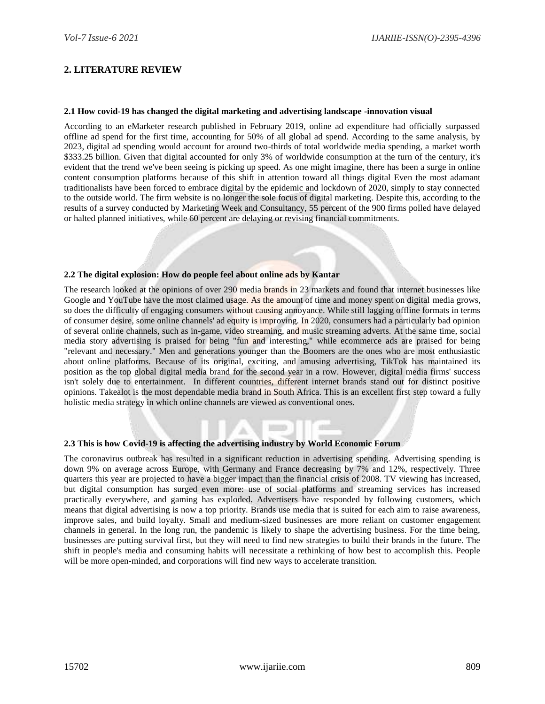## **2. LITERATURE REVIEW**

#### **2.1 How covid-19 has changed the digital marketing and advertising landscape -innovation visual**

According to an eMarketer research published in February 2019, online ad expenditure had officially surpassed offline ad spend for the first time, accounting for 50% of all global ad spend. According to the same analysis, by 2023, digital ad spending would account for around two-thirds of total worldwide media spending, a market worth \$333.25 billion. Given that digital accounted for only 3% of worldwide consumption at the turn of the century, it's evident that the trend we've been seeing is picking up speed. As one might imagine, there has been a surge in online content consumption platforms because of this shift in attention toward all things digital Even the most adamant traditionalists have been forced to embrace digital by the epidemic and lockdown of 2020, simply to stay connected to the outside world. The firm website is no longer the sole focus of digital marketing. Despite this, according to the results of a survey conducted by Marketing Week and Consultancy, 55 percent of the 900 firms polled have delayed or halted planned initiatives, while 60 percent are delaying or revising financial commitments.

#### **2.2 The digital explosion: How do people feel about online ads by Kantar**

The research looked at the opinions of over 290 media brands in 23 markets and found that internet businesses like Google and YouTube have the most claimed usage. As the amount of time and money spent on digital media grows, so does the difficulty of engaging consumers without causing annoyance. While still lagging offline formats in terms of consumer desire, some online channels' ad equity is improving. In 2020, consumers had a particularly bad opinion of several online channels, such as in-game, video streaming, and music streaming adverts. At the same time, social media story advertising is praised for being "fun and interesting," while ecommerce ads are praised for being "relevant and necessary." Men and generations younger than the Boomers are the ones who are most enthusiastic about online platforms. Because of its original, exciting, and amusing advertising, TikTok has maintained its position as the top global digital media brand for the second year in a row. However, digital media firms' success isn't solely due to entertainment. In different countries, different internet brands stand out for distinct positive opinions. Takealot is the most dependable media brand in South Africa. This is an excellent first step toward a fully holistic media strategy in which online channels are viewed as conventional ones.

#### **2.3 This is how Covid-19 is affecting the advertising industry by World Economic Forum**

The coronavirus outbreak has resulted in a significant reduction in advertising spending. Advertising spending is down 9% on average across Europe, with Germany and France decreasing by 7% and 12%, respectively. Three quarters this year are projected to have a bigger impact than the financial crisis of 2008. TV viewing has increased, but digital consumption has surged even more: use of social platforms and streaming services has increased practically everywhere, and gaming has exploded. Advertisers have responded by following customers, which means that digital advertising is now a top priority. Brands use media that is suited for each aim to raise awareness, improve sales, and build loyalty. Small and medium-sized businesses are more reliant on customer engagement channels in general. In the long run, the pandemic is likely to shape the advertising business. For the time being, businesses are putting survival first, but they will need to find new strategies to build their brands in the future. The shift in people's media and consuming habits will necessitate a rethinking of how best to accomplish this. People will be more open-minded, and corporations will find new ways to accelerate transition.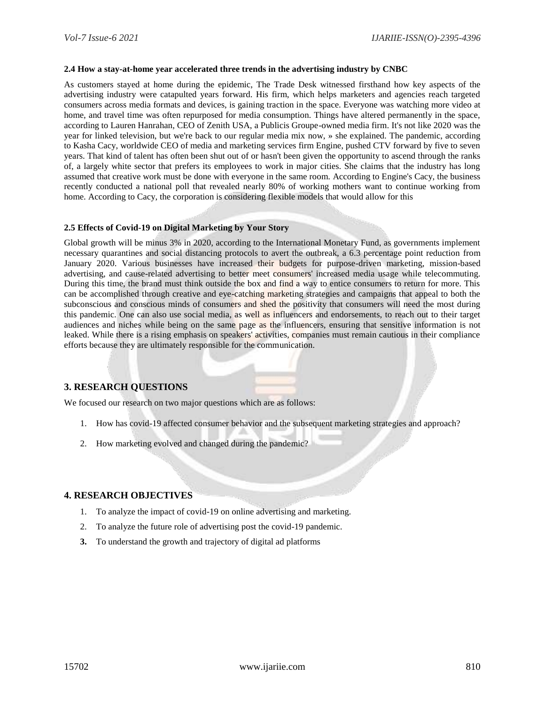#### **2.4 How a stay-at-home year accelerated three trends in the advertising industry by CNBC**

As customers stayed at home during the epidemic, The Trade Desk witnessed firsthand how key aspects of the advertising industry were catapulted years forward. His firm, which helps marketers and agencies reach targeted consumers across media formats and devices, is gaining traction in the space. Everyone was watching more video at home, and travel time was often repurposed for media consumption. Things have altered permanently in the space, according to Lauren Hanrahan, CEO of Zenith USA, a Publicis Groupe-owned media firm. It's not like 2020 was the year for linked television, but we're back to our regular media mix now, » she explained. The pandemic, according to Kasha Cacy, worldwide CEO of media and marketing services firm Engine, pushed CTV forward by five to seven years. That kind of talent has often been shut out of or hasn't been given the opportunity to ascend through the ranks of, a largely white sector that prefers its employees to work in major cities. She claims that the industry has long assumed that creative work must be done with everyone in the same room. According to Engine's Cacy, the business recently conducted a national poll that revealed nearly 80% of working mothers want to continue working from home. According to Cacy, the corporation is considering flexible models that would allow for this

#### **2.5 Effects of Covid-19 on Digital Marketing by Your Story**

Global growth will be minus 3% in 2020, according to the International Monetary Fund, as governments implement necessary quarantines and social distancing protocols to avert the outbreak, a 6.3 percentage point reduction from January 2020. Various businesses have increased their budgets for purpose-driven marketing, mission-based advertising, and cause-related advertising to better meet consumers' increased media usage while telecommuting. During this time, the brand must think outside the box and find a way to entice consumers to return for more. This can be accomplished through creative and eye-catching marketing strategies and campaigns that appeal to both the subconscious and conscious minds of consumers and shed the positivity that consumers will need the most during this pandemic. One can also use social media, as well as influencers and endorsements, to reach out to their target audiences and niches while being on the same page as the influencers, ensuring that sensitive information is not leaked. While there is a rising emphasis on speakers' activities, companies must remain cautious in their compliance efforts because they are ultimately responsible for the communication.

## **3. RESEARCH QUESTIONS**

We focused our research on two major questions which are as follows:

- 1. How has covid-19 affected consumer behavior and the subsequent marketing strategies and approach?
- 2. How marketing evolved and changed during the pandemic?

#### **4. RESEARCH OBJECTIVES**

- 1. To analyze the impact of covid-19 on online advertising and marketing.
- 2. To analyze the future role of advertising post the covid-19 pandemic.
- **3.** To understand the growth and trajectory of digital ad platforms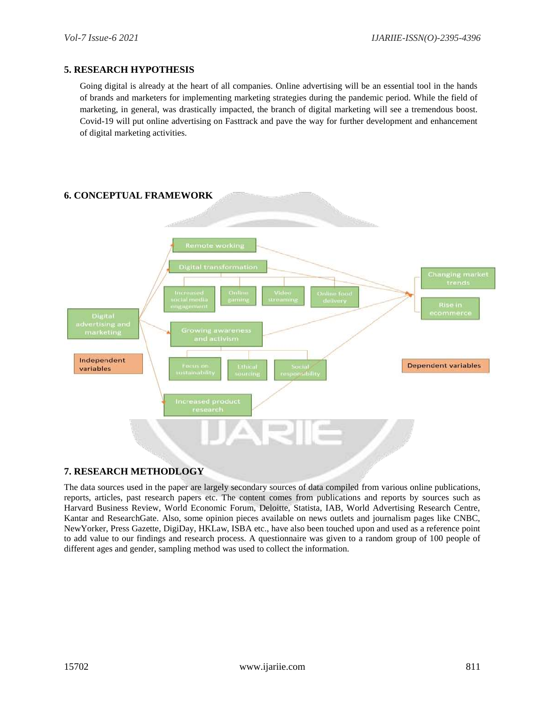#### **5. RESEARCH HYPOTHESIS**

Going digital is already at the heart of all companies. Online advertising will be an essential tool in the hands of brands and marketers for implementing marketing strategies during the pandemic period. While the field of marketing, in general, was drastically impacted, the branch of digital marketing will see a tremendous boost. Covid-19 will put online advertising on Fasttrack and pave the way for further development and enhancement of digital marketing activities.



## **7. RESEARCH METHODLOGY**

The data sources used in the paper are largely secondary sources of data compiled from various online publications, reports, articles, past research papers etc. The content comes from publications and reports by sources such as Harvard Business Review, World Economic Forum, Deloitte, Statista, IAB, World Advertising Research Centre, Kantar and ResearchGate. Also, some opinion pieces available on news outlets and journalism pages like CNBC, NewYorker, Press Gazette, DigiDay, HKLaw, ISBA etc., have also been touched upon and used as a reference point to add value to our findings and research process. A questionnaire was given to a random group of 100 people of different ages and gender, sampling method was used to collect the information.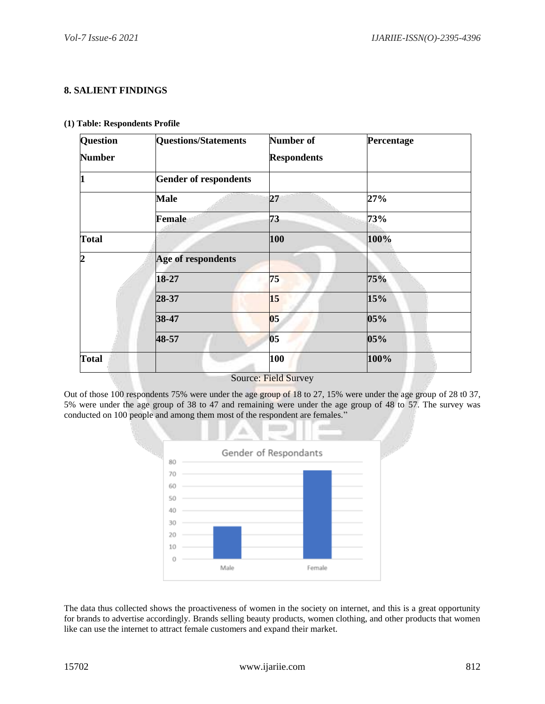## **8. SALIENT FINDINGS**

|  | (1) Table: Respondents Profile |  |
|--|--------------------------------|--|
|  |                                |  |

| Question       | <b>Questions/Statements</b>  | Number of                   | Percentage |
|----------------|------------------------------|-----------------------------|------------|
| <b>Number</b>  |                              | <b>Respondents</b>          |            |
| $\vert$ 1      | <b>Gender of respondents</b> |                             |            |
|                | <b>Male</b>                  | 27                          | 27%        |
|                | Female                       | 73                          | 73%        |
| <b>Total</b>   |                              | 100                         | 100%       |
| $\overline{2}$ | Age of respondents           |                             |            |
|                | 18-27                        | 75                          | 75%        |
|                | 28-37                        | 15                          | 15%        |
|                | 38-47                        | 05                          | 05%        |
|                | 48-57                        | 05                          | 05%        |
| <b>Total</b>   |                              | 100                         | 100%       |
|                |                              | <b>Source: Field Survey</b> |            |

Out of those 100 respondents 75% were under the age group of 18 to 27, 15% were under the age group of 28 t0 37, 5% were under the age group of 38 to 47 and remaining were under the age group of 48 to 57. The survey was conducted on 100 people and among them most of the respondent are females."



The data thus collected shows the proactiveness of women in the society on internet, and this is a great opportunity for brands to advertise accordingly. Brands selling beauty products, women clothing, and other products that women like can use the internet to attract female customers and expand their market.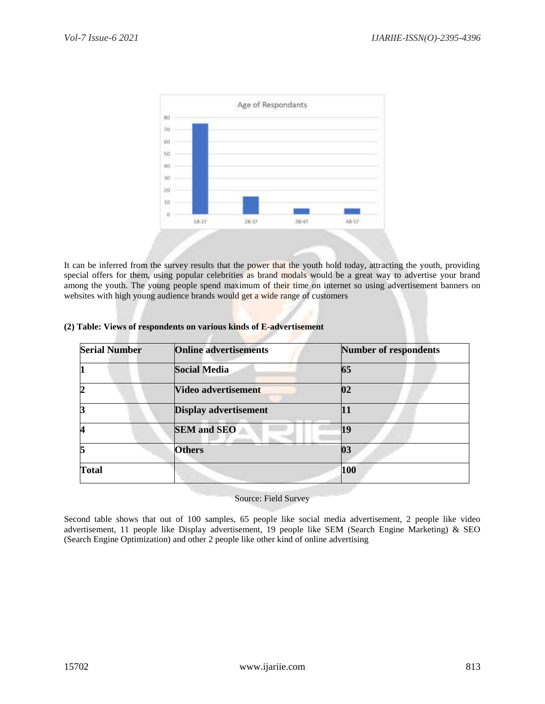

It can be inferred from the survey results that the power that the youth hold today, attracting the youth, providing special offers for them, using popular celebrities as brand modals would be a great way to advertise your brand among the youth. The young people spend maximum of their time on internet so using advertisement banners on websites with high young audience brands would get a wide range of customers

| <b>Serial Number</b> | <b>Online advertisements</b> | <b>Number of respondents</b> |
|----------------------|------------------------------|------------------------------|
|                      | <b>Social Media</b>          | 65                           |
|                      | Video advertisement          | 02                           |
|                      | <b>Display advertisement</b> | 11                           |
|                      | <b>SEM and SEO</b>           | 19                           |
|                      | <b>Others</b>                | $\overline{\mathbf{03}}$     |
| <b>Total</b>         |                              | 100                          |

#### **(2) Table: Views of respondents on various kinds of E-advertisement**

Source: Field Survey

Second table shows that out of 100 samples, 65 people like social media advertisement, 2 people like video advertisement, 11 people like Display advertisement, 19 people like SEM (Search Engine Marketing) & SEO (Search Engine Optimization) and other 2 people like other kind of online advertising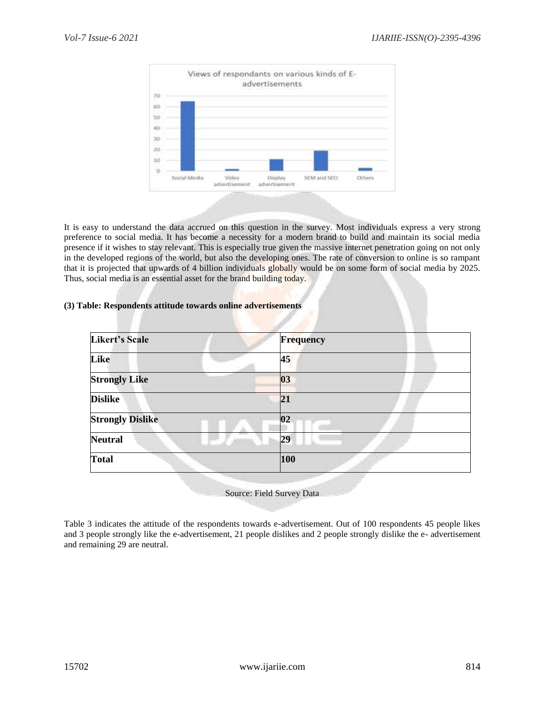

It is easy to understand the data accrued on this question in the survey. Most individuals express a very strong preference to social media. It has become a necessity for a modern brand to build and maintain its social media presence if it wishes to stay relevant. This is especially true given the massive internet penetration going on not only in the developed regions of the world, but also the developing ones. The rate of conversion to online is so rampant that it is projected that upwards of 4 billion individuals globally would be on some form of social media by 2025. Thus, social media is an essential asset for the brand building today.

#### **(3) Table: Respondents attitude towards online advertisements**

| <b>Likert's Scale</b>   | <b>Frequency</b> |  |
|-------------------------|------------------|--|
| Like                    | 45               |  |
| <b>Strongly Like</b>    | 03               |  |
| <b>Dislike</b>          | 21               |  |
| <b>Strongly Dislike</b> | 02               |  |
| <b>Neutral</b>          | 29               |  |
| <b>Total</b>            | 100              |  |

Source: Field Survey Data

Table 3 indicates the attitude of the respondents towards e-advertisement. Out of 100 respondents 45 people likes and 3 people strongly like the e-advertisement, 21 people dislikes and 2 people strongly dislike the e- advertisement and remaining 29 are neutral.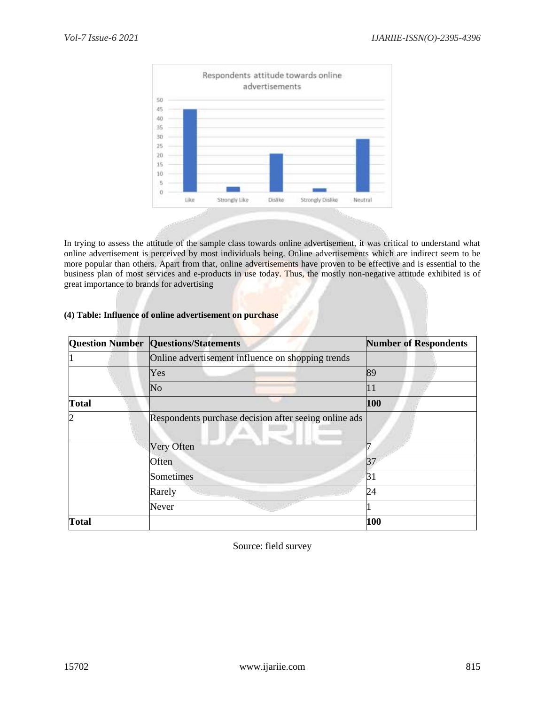

In trying to assess the attitude of the sample class towards online advertisement, it was critical to understand what online advertisement is perceived by most individuals being. Online advertisements which are indirect seem to be more popular than others. Apart from that, online advertisements have proven to be effective and is essential to the business plan of most services and e-products in use today. Thus, the mostly non-negative attitude exhibited is of great importance to brands for advertising

## **(4) Table: Influence of online advertisement on purchase**

|              | <b>Question Number Questions/Statements</b>           | <b>Number of Respondents</b> |  |
|--------------|-------------------------------------------------------|------------------------------|--|
|              | Online advertisement influence on shopping trends     |                              |  |
|              | Yes                                                   | 89                           |  |
|              | N <sub>o</sub>                                        | 11                           |  |
| <b>Total</b> |                                                       | 100                          |  |
| 2            | Respondents purchase decision after seeing online ads |                              |  |
|              | Very Often                                            |                              |  |
|              | Often                                                 | 37                           |  |
|              | Sometimes                                             | 31                           |  |
|              | Rarely                                                | 24                           |  |
|              | Never                                                 |                              |  |
| Total        |                                                       | 100                          |  |

Source: field survey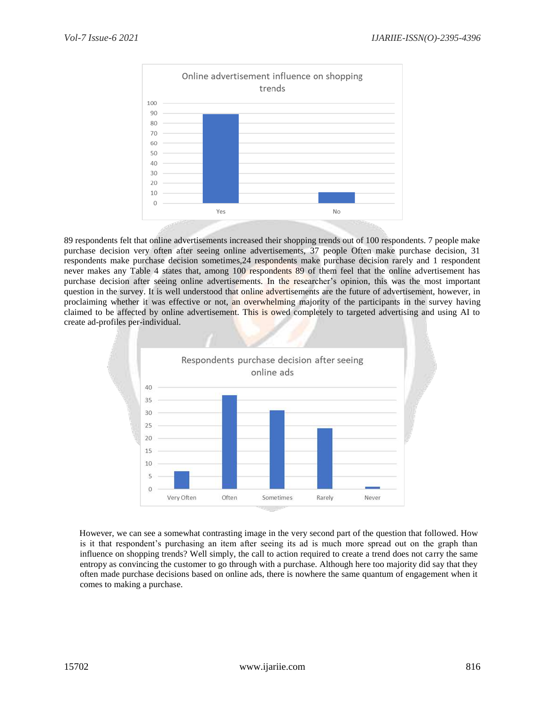

89 respondents felt that online advertisements increased their shopping trends out of 100 respondents. 7 people make purchase decision very often after seeing online advertisements, 37 people Often make purchase decision, 31 respondents make purchase decision sometimes,24 respondents make purchase decision rarely and 1 respondent never makes any Table 4 states that, among 100 respondents 89 of them feel that the online advertisement has purchase decision after seeing online advertisements. In the researcher's opinion, this was the most important question in the survey. It is well understood that online advertisements are the future of advertisement, however, in proclaiming whether it was effective or not, an overwhelming majority of the participants in the survey having claimed to be affected by online advertisement. This is owed completely to targeted advertising and using AI to create ad-profiles per-individual.



However, we can see a somewhat contrasting image in the very second part of the question that followed. How is it that respondent's purchasing an item after seeing its ad is much more spread out on the graph than influence on shopping trends? Well simply, the call to action required to create a trend does not carry the same entropy as convincing the customer to go through with a purchase. Although here too majority did say that they often made purchase decisions based on online ads, there is nowhere the same quantum of engagement when it comes to making a purchase.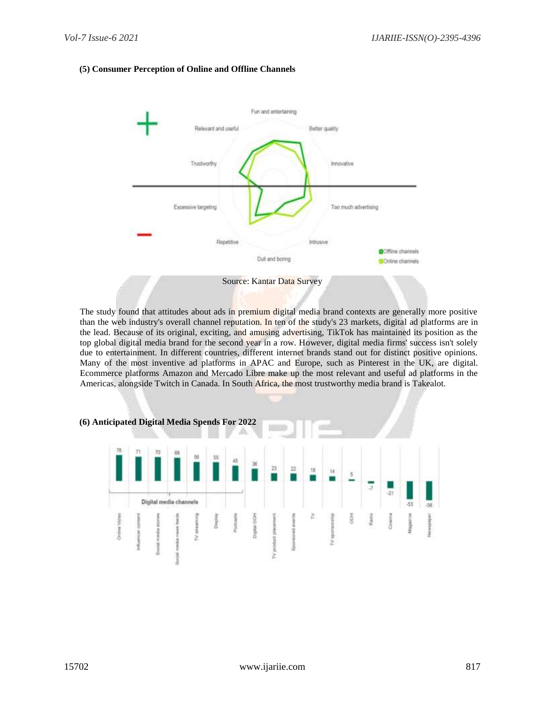#### **(5) Consumer Perception of Online and Offline Channels**



The study found that attitudes about ads in premium digital media brand contexts are generally more positive than the web industry's overall channel reputation. In ten of the study's 23 markets, digital ad platforms are in the lead. Because of its original, exciting, and amusing advertising, TikTok has maintained its position as the top global digital media brand for the second year in a row. However, digital media firms' success isn't solely due to entertainment. In different countries, different internet brands stand out for distinct positive opinions. Many of the most inventive ad platforms in APAC and Europe, such as Pinterest in the UK, are digital. Ecommerce platforms Amazon and Mercado Libre make up the most relevant and useful ad platforms in the Americas, alongside Twitch in Canada. In South Africa, the most trustworthy media brand is Takealot.

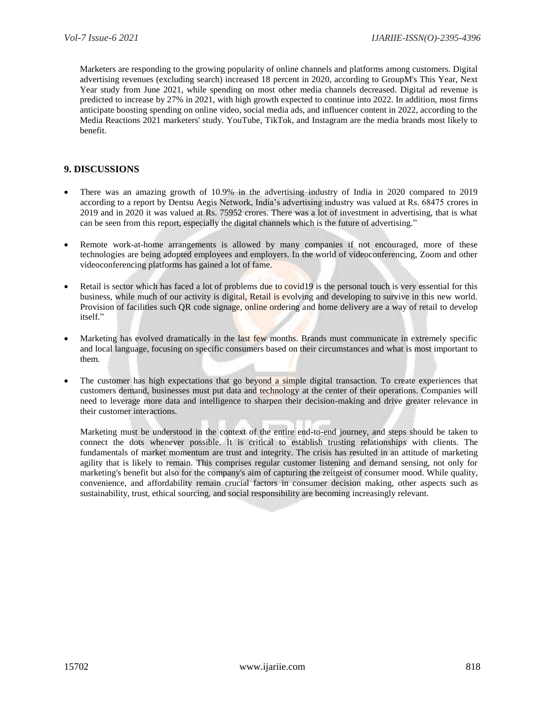Marketers are responding to the growing popularity of online channels and platforms among customers. Digital advertising revenues (excluding search) increased 18 percent in 2020, according to GroupM's This Year, Next Year study from June 2021, while spending on most other media channels decreased. Digital ad revenue is predicted to increase by 27% in 2021, with high growth expected to continue into 2022. In addition, most firms anticipate boosting spending on online video, social media ads, and influencer content in 2022, according to the Media Reactions 2021 marketers' study. YouTube, TikTok, and Instagram are the media brands most likely to benefit.

#### **9. DISCUSSIONS**

- There was an amazing growth of 10.9% in the advertising industry of India in 2020 compared to 2019 according to a report by Dentsu Aegis Network, India's advertising industry was valued at Rs. 68475 crores in 2019 and in 2020 it was valued at Rs. 75952 crores. There was a lot of investment in advertising, that is what can be seen from this report, especially the digital channels which is the future of advertising."
- Remote work-at-home arrangements is allowed by many companies if not encouraged, more of these technologies are being adopted employees and employers. In the world of videoconferencing, Zoom and other videoconferencing platforms has gained a lot of fame.
- Retail is sector which has faced a lot of problems due to covid19 is the personal touch is very essential for this business, while much of our activity is digital, Retail is evolving and developing to survive in this new world. Provision of facilities such QR code signage, online ordering and home delivery are a way of retail to develop itself."
- Marketing has evolved dramatically in the last few months. Brands must communicate in extremely specific and local language, focusing on specific consumers based on their circumstances and what is most important to them.
- The customer has high expectations that go beyond a simple digital transaction. To create experiences that customers demand, businesses must put data and technology at the center of their operations. Companies will need to leverage more data and intelligence to sharpen their decision-making and drive greater relevance in their customer interactions.

Marketing must be understood in the context of the entire end-to-end journey, and steps should be taken to connect the dots whenever possible. It is critical to establish trusting relationships with clients. The fundamentals of market momentum are trust and integrity. The crisis has resulted in an attitude of marketing agility that is likely to remain. This comprises regular customer listening and demand sensing, not only for marketing's benefit but also for the company's aim of capturing the zeitgeist of consumer mood. While quality, convenience, and affordability remain crucial factors in consumer decision making, other aspects such as sustainability, trust, ethical sourcing, and social responsibility are becoming increasingly relevant.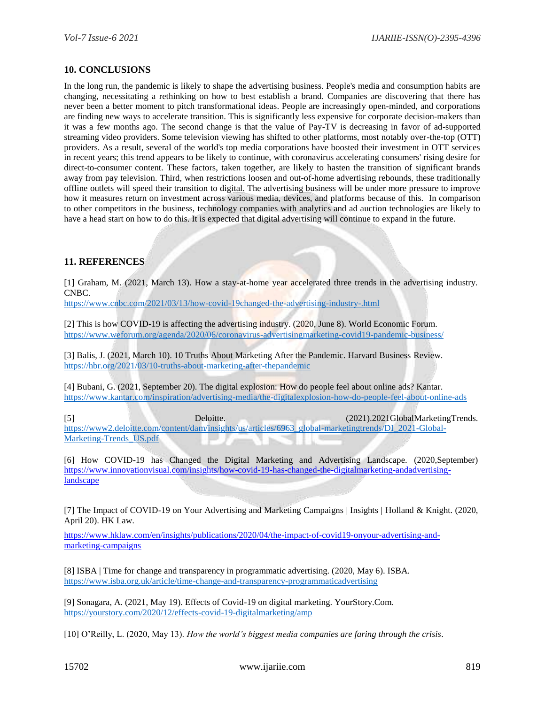#### **10. CONCLUSIONS**

In the long run, the pandemic is likely to shape the advertising business. People's media and consumption habits are changing, necessitating a rethinking on how to best establish a brand. Companies are discovering that there has never been a better moment to pitch transformational ideas. People are increasingly open-minded, and corporations are finding new ways to accelerate transition. This is significantly less expensive for corporate decision-makers than it was a few months ago. The second change is that the value of Pay-TV is decreasing in favor of ad-supported streaming video providers. Some television viewing has shifted to other platforms, most notably over-the-top (OTT) providers. As a result, several of the world's top media corporations have boosted their investment in OTT services in recent years; this trend appears to be likely to continue, with coronavirus accelerating consumers' rising desire for direct-to-consumer content. These factors, taken together, are likely to hasten the transition of significant brands away from pay television. Third, when restrictions loosen and out-of-home advertising rebounds, these traditionally offline outlets will speed their transition to digital. The advertising business will be under more pressure to improve how it measures return on investment across various media, devices, and platforms because of this. In comparison to other competitors in the business, technology companies with analytics and ad auction technologies are likely to have a head start on how to do this. It is expected that digital advertising will continue to expand in the future.

## **11. REFERENCES**

[1] Graham, M. (2021, March 13). How a stay-at-home year accelerated three trends in the advertising industry. CNBC.

<https://www.cnbc.com/2021/03/13/how-covid-19changed-the-advertising-industry-.html>

[2] This is how COVID-19 is affecting the advertising industry. (2020, June 8). World Economic Forum. <https://www.weforum.org/agenda/2020/06/coronavirus-advertisingmarketing-covid19-pandemic-business/>

[3] Balis, J. (2021, March 10). 10 Truths About Marketing After the Pandemic. Harvard Business Review. <https://hbr.org/2021/03/10-truths-about-marketing-after-thepandemic>

[4] Bubani, G. (2021, September 20). The digital explosion: How do people feel about online ads? Kantar. <https://www.kantar.com/inspiration/advertising-media/the-digitalexplosion-how-do-people-feel-about-online-ads>

[5] Deloitte. (2021).2021GlobalMarketingTrends. [https://www2.deloitte.com/content/dam/insights/us/articles/6963\\_global-marketingtrends/DI\\_2021-Global-](https://www2.deloitte.com/content/dam/insights/us/articles/6963_global-marketingtrends/DI_2021-Global-Marketing-Trends_US.pdf)[Marketing-Trends\\_US.pdf](https://www2.deloitte.com/content/dam/insights/us/articles/6963_global-marketingtrends/DI_2021-Global-Marketing-Trends_US.pdf)

[6] How COVID-19 has Changed the Digital Marketing and Advertising Landscape. (2020,September) [https://www.innovationvisual.com/insights/how-covid-19-has-changed-the-digitalmarketing-andadvertising](https://www.innovationvisual.com/insights/how-covid-19-has-changed-the-digitalmarketing-andadvertising-landscape)[landscape](https://www.innovationvisual.com/insights/how-covid-19-has-changed-the-digitalmarketing-andadvertising-landscape)

[7] The Impact of COVID-19 on Your Advertising and Marketing Campaigns | Insights | Holland & Knight. (2020, April 20). HK Law.

[https://www.hklaw.com/en/insights/publications/2020/04/the-impact-of-covid19-onyour-advertising-and](https://www.hklaw.com/en/insights/publications/2020/04/the-impact-of-covid19-onyour-advertising-and-marketing-campaigns)[marketing-campaigns](https://www.hklaw.com/en/insights/publications/2020/04/the-impact-of-covid19-onyour-advertising-and-marketing-campaigns)

[8] ISBA | Time for change and transparency in programmatic advertising. (2020, May 6). ISBA. <https://www.isba.org.uk/article/time-change-and-transparency-programmaticadvertising>

[9] Sonagara, A. (2021, May 19). Effects of Covid-19 on digital marketing. YourStory.Com. <https://yourstory.com/2020/12/effects-covid-19-digitalmarketing/amp>

[10] O'Reilly, L. (2020, May 13). *How the world's biggest media companies are faring through the crisis*.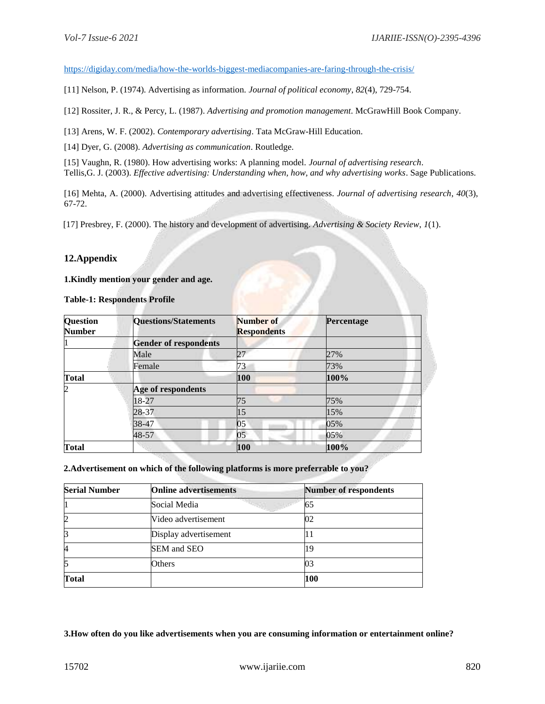<https://digiday.com/media/how-the-worlds-biggest-mediacompanies-are-faring-through-the-crisis/>

[11] Nelson, P. (1974). Advertising as information. *Journal of political economy*, *82*(4), 729-754.

[12] Rossiter, J. R., & Percy, L. (1987). *Advertising and promotion management*. McGrawHill Book Company.

[13] Arens, W. F. (2002). *Contemporary advertising*. Tata McGraw-Hill Education.

[14] Dyer, G. (2008). *Advertising as communication*. Routledge.

[15] Vaughn, R. (1980). How advertising works: A planning model. *Journal of advertising research*. Tellis,G. J. (2003). *Effective advertising: Understanding when, how, and why advertising works*. Sage Publications.

[16] Mehta, A. (2000). Advertising attitudes and advertising effectiveness. *Journal of advertising research*, *40*(3), 67-72.

[17] Presbrey, F. (2000). The history and development of advertising. *Advertising & Society Review*, *1*(1).

#### **12.Appendix**

**1.Kindly mention your gender and age.** 

**Table-1: Respondents Profile** 

| <b>Question</b><br><b>Number</b> | <b>Questions/Statements</b>  | Number of<br><b>Respondents</b> | Percentage |
|----------------------------------|------------------------------|---------------------------------|------------|
|                                  | <b>Gender of respondents</b> |                                 |            |
|                                  | Male                         | 21                              | 27%        |
|                                  | Female                       | 73                              | 73%        |
| <b>Total</b>                     |                              | 100                             | 100%       |
| 2                                | Age of respondents           |                                 |            |
|                                  | 18-27                        | 75                              | 75%        |
|                                  | 28-37                        | 15                              | 15%        |
|                                  | 38-47                        | 05                              | 05%        |
|                                  | 48-57                        | 05                              | 05%        |
| Total                            |                              | 100                             | 100%       |

 **2.Advertisement on which of the following platforms is more preferrable to you?** 

| <b>Serial Number</b> | <b>Online advertisements</b> | <b>Number of respondents</b> |
|----------------------|------------------------------|------------------------------|
|                      | Social Media                 | 65                           |
|                      | Video advertisement          | 02                           |
| ß                    | Display advertisement        | 11                           |
| 4                    | SEM and SEO                  | 19                           |
|                      | Others                       | 03                           |
| <b>Total</b>         |                              | 100                          |

**3.How often do you like advertisements when you are consuming information or entertainment online?**